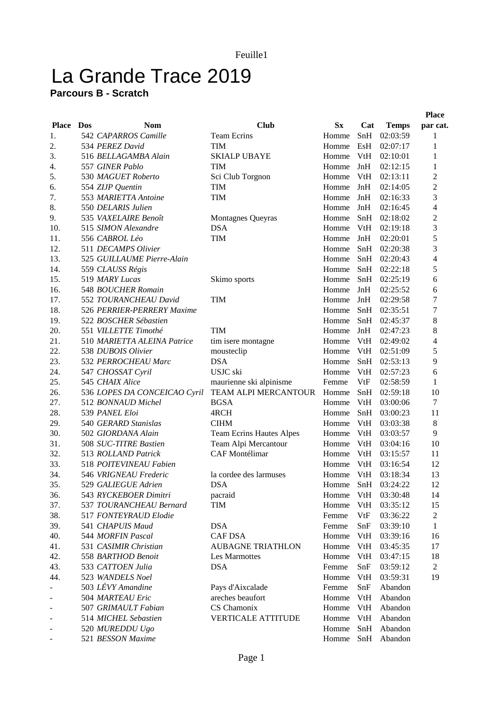## La Grande Trace 2019

## **Parcours B - Scratch**

|              |     |                              |                           |             |     |              | <b>Place</b>             |
|--------------|-----|------------------------------|---------------------------|-------------|-----|--------------|--------------------------|
| <b>Place</b> | Dos | Nom                          | <b>Club</b>               | $S_{\rm X}$ | Cat | <b>Temps</b> | par cat.                 |
| 1.           |     | 542 CAPARROS Camille         | <b>Team Ecrins</b>        | Homme       | SnH | 02:03:59     | 1                        |
| 2.           |     | 534 PEREZ David              | <b>TIM</b>                | Homme       | EsH | 02:07:17     | 1                        |
| 3.           |     | 516 BELLAGAMBA Alain         | <b>SKIALP UBAYE</b>       | Homme       | VtH | 02:10:01     | 1                        |
| 4.           |     | 557 GINER Pablo              | TIM                       | Homme       | JnH | 02:12:15     | 1                        |
| 5.           |     | 530 MAGUET Roberto           | Sci Club Torgnon          | Homme       | VtH | 02:13:11     | 2                        |
| 6.           |     | 554 ZIJP Quentin             | TIM                       | Homme       | JnH | 02:14:05     | $\overline{c}$           |
| 7.           |     | 553 MARIETTA Antoine         | <b>TIM</b>                | Homme       | JnH | 02:16:33     | 3                        |
| 8.           |     | 550 DELARIS Julien           |                           | Homme       | JnH | 02:16:45     | $\overline{4}$           |
| 9.           |     | 535 VAXELAIRE Benoît         | Montagnes Queyras         | Homme       | SnH | 02:18:02     | $\overline{c}$           |
| 10.          |     | 515 SIMON Alexandre          | <b>DSA</b>                | Homme       | VtH | 02:19:18     | 3                        |
| 11.          |     | 556 CABROL Léo               | <b>TIM</b>                | Homme       | JnH | 02:20:01     | 5                        |
| 12.          |     | 511 DECAMPS Olivier          |                           | Homme       | SnH | 02:20:38     | 3                        |
| 13.          |     | 525 GUILLAUME Pierre-Alain   |                           | Homme       | SnH | 02:20:43     | 4                        |
| 14.          |     | 559 CLAUSS Régis             |                           | Homme       | SnH | 02:22:18     | 5                        |
| 15.          |     | 519 MARY Lucas               | Skimo sports              | Homme       | SnH | 02:25:19     | 6                        |
| 16.          |     | 548 BOUCHER Romain           |                           | Homme       | JnH | 02:25:52     | 6                        |
| 17.          |     | 552 TOURANCHEAU David        | <b>TIM</b>                | Homme       | JnH | 02:29:58     | $\overline{7}$           |
| 18.          |     | 526 PERRIER-PERRERY Maxime   |                           | Homme       | SnH | 02:35:51     | 7                        |
| 19.          |     | 522 BOSCHER Sébastien        |                           | Homme       | SnH | 02:45:37     | 8                        |
| 20.          |     | 551 VILLETTE Timothé         | <b>TIM</b>                | Homme       | JnH | 02:47:23     | 8                        |
| 21.          |     | 510 MARIETTA ALEINA Patrice  | tim isere montagne        | Homme       | VtH | 02:49:02     | $\overline{\mathcal{L}}$ |
| 22.          |     | 538 DUBOIS Olivier           | mousteclip                | Homme       | VtH | 02:51:09     | 5                        |
| 23.          |     | 532 PERROCHEAU Marc          | <b>DSA</b>                | Homme       | SnH | 02:53:13     | 9                        |
| 24.          |     | 547 CHOSSAT Cyril            | USJC ski                  | Homme       | VtH | 02:57:23     | 6                        |
| 25.          |     | 545 CHAIX Alice              | maurienne ski alpinisme   | Femme       | VtF | 02:58:59     | 1                        |
| 26.          |     | 536 LOPES DA CONCEICAO Cyril | TEAM ALPI MERCANTOUR      | Homme       | SnH | 02:59:18     | 10                       |
| 27.          |     | 512 BONNAUD Michel           | <b>BGSA</b>               | Homme       | VtH | 03:00:06     | 7                        |
| 28.          |     | 539 PANEL Eloi               | 4RCH                      | Homme       | SnH | 03:00:23     | 11                       |
| 29.          |     | 540 GERARD Stanislas         | <b>CIHM</b>               | Homme       | VtH | 03:03:38     | 8                        |
| 30.          |     | 502 GIORDANA Alain           | Team Ecrins Hautes Alpes  | Homme       | VtH | 03:03:57     | 9                        |
| 31.          |     | 508 SUC-TITRE Bastien        | Team Alpi Mercantour      | Homme       | VtH | 03:04:16     | 10                       |
| 32.          |     | 513 ROLLAND Patrick          | <b>CAF</b> Montélimar     | Homme       | VtH | 03:15:57     | 11                       |
| 33.          |     | 518 POITEVINEAU Fabien       |                           | Homme       | VtH | 03:16:54     | 12                       |
| 34.          |     | 546 VRIGNEAU Frederic        | la cordee des larmuses    | Homme       | VtH | 03:18:34     | 13                       |
| 35.          |     | 529 GALIEGUE Adrien          | <b>DSA</b>                | Homme       | SnH | 03:24:22     | 12                       |
| 36.          |     | 543 RYCKEBOER Dimitri        | pacraid                   | Homme       | VtH | 03:30:48     | 14                       |
| 37.          |     | 537 TOURANCHEAU Bernard      | <b>TIM</b>                | Homme       | VtH | 03:35:12     | 15                       |
| 38.          |     | 517 FONTEYRAUD Elodie        |                           | Femme       | VtF | 03:36:22     | 2                        |
| 39.          |     | 541 CHAPUIS Maud             | <b>DSA</b>                | Femme       | SnF | 03:39:10     | 1                        |
| 40.          |     | 544 MORFIN Pascal            | <b>CAF DSA</b>            | Homme       | VtH | 03:39:16     | 16                       |
| 41.          |     | 531 CASIMIR Christian        | <b>AUBAGNE TRIATHLON</b>  | Homme       | VtH | 03:45:35     | 17                       |
| 42.          |     | 558 BARTHOD Benoit           | Les Marmottes             | Homme       | VtH | 03:47:15     | 18                       |
| 43.          |     | 533 CATTOEN Julia            | <b>DSA</b>                | Femme       | SnF | 03:59:12     | $\overline{c}$           |
| 44.          |     | 523 WANDELS Noel             |                           | Homme       | VtH | 03:59:31     | 19                       |
|              |     | 503 LÉVY Amandine            | Pays d'Aixcalade          | Femme       | SnF | Abandon      |                          |
|              |     | 504 MARTEAU Eric             | areches beaufort          | Homme       | VtH | Abandon      |                          |
|              |     | 507 GRIMAULT Fabian          | CS Chamonix               | Homme       | VtH | Abandon      |                          |
|              |     | 514 MICHEL Sebastien         | <b>VERTICALE ATTITUDE</b> | Homme       | VtH | Abandon      |                          |
|              |     | 520 MUREDDU Ugo              |                           | Homme       | SnH | Abandon      |                          |
|              |     | 521 BESSON Maxime            |                           | Homme SnH   |     | Abandon      |                          |
|              |     |                              |                           |             |     |              |                          |